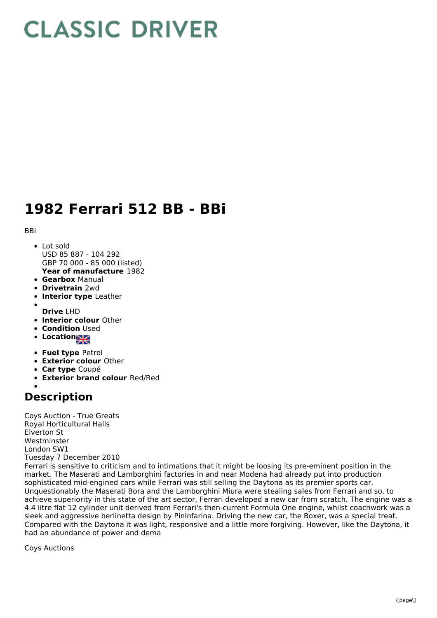## **CLASSIC DRIVER**

## **1982 Ferrari 512 BB - BBi**

**BBi** 

- **Year of manufacture** 1982 • Lot sold USD 85 887 - 104 292 GBP 70 000 - 85 000 (listed)
- **Gearbox** Manual
- **Drivetrain** 2wd
- **Interior type** Leather  $\bullet$
- **Drive** LHD
- **Interior colour** Other
- **Condition Used**
- **Location**
- **Fuel type** Petrol
- **Exterior colour** Other
- **Car type** Coupé
- **Exterior brand colour** Red/Red

## **Description**

Coys Auction - True Greats Royal Horticultural Halls Elverton St Westminster London SW1 Tuesday 7 December 2010

Ferrari is sensitive to criticism and to intimations that it might be loosing its pre-eminent position in the market. The Maserati and Lamborghini factories in and near Modena had already put into production sophisticated mid-engined cars while Ferrari was still selling the Daytona as its premier sports car. Unquestionably the Maserati Bora and the Lamborghini Miura were stealing sales from Ferrari and so, to achieve superiority in this state of the art sector, Ferrari developed a new car from scratch. The engine was a 4.4 litre flat 12 cylinder unit derived from Ferrari's then-current Formula One engine, whilst coachwork was a sleek and aggressive berlinetta design by Pininfarina. Driving the new car, the Boxer, was a special treat. Compared with the Daytona it was light, responsive and a little more forgiving. However, like the Daytona, it had an abundance of power and dema

Coys Auctions